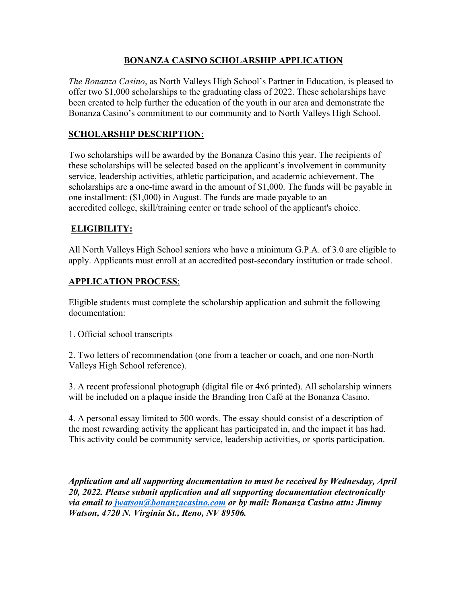#### **BONANZA CASINO SCHOLARSHIP APPLICATION**

*The Bonanza Casino*, as North Valleys High School's Partner in Education, is pleased to offer two \$1,000 scholarships to the graduating class of 2022. These scholarships have been created to help further the education of the youth in our area and demonstrate the Bonanza Casino's commitment to our community and to North Valleys High School.

## **SCHOLARSHIP DESCRIPTION**:

Two scholarships will be awarded by the Bonanza Casino this year. The recipients of these scholarships will be selected based on the applicant's involvement in community service, leadership activities, athletic participation, and academic achievement. The scholarships are a one-time award in the amount of \$1,000. The funds will be payable in one installment: (\$1,000) in August. The funds are made payable to an accredited college, skill/training center or trade school of the applicant's choice.

# **ELIGIBILITY:**

All North Valleys High School seniors who have a minimum G.P.A. of 3.0 are eligible to apply. Applicants must enroll at an accredited post-secondary institution or trade school.

#### **APPLICATION PROCESS**:

Eligible students must complete the scholarship application and submit the following documentation:

1. Official school transcripts

2. Two letters of recommendation (one from a teacher or coach, and one non-North Valleys High School reference).

3. A recent professional photograph (digital file or 4x6 printed). All scholarship winners will be included on a plaque inside the Branding Iron Café at the Bonanza Casino.

4. A personal essay limited to 500 words. The essay should consist of a description of the most rewarding activity the applicant has participated in, and the impact it has had. This activity could be community service, leadership activities, or sports participation.

*Application and all supporting documentation to must be received by Wednesday, April 20, 2022. Please submit application and all supporting documentation electronically via email to [jwatson@bonanzacasino.com](mailto:jwatson@bonanzacasino.com) or by mail: Bonanza Casino attn: Jimmy Watson, 4720 N. Virginia St., Reno, NV 89506.*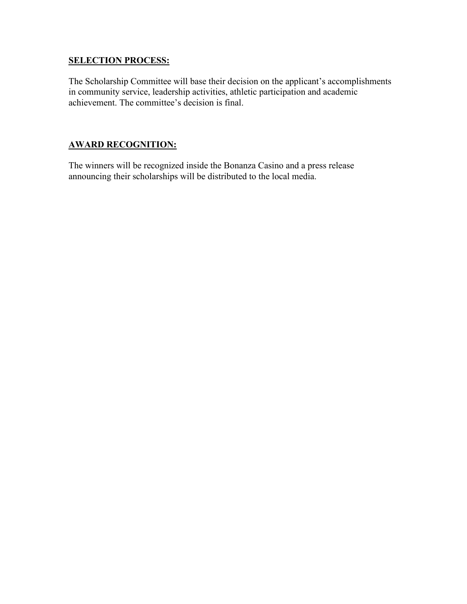#### **SELECTION PROCESS:**

The Scholarship Committee will base their decision on the applicant's accomplishments in community service, leadership activities, athletic participation and academic achievement. The committee's decision is final.

#### **AWARD RECOGNITION:**

The winners will be recognized inside the Bonanza Casino and a press release announcing their scholarships will be distributed to the local media.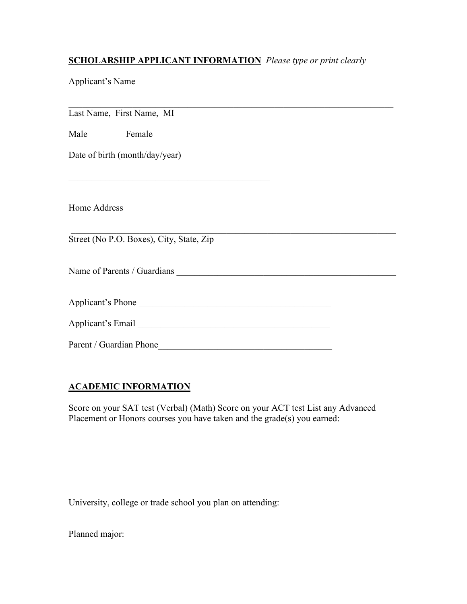#### **SCHOLARSHIP APPLICANT INFORMATION** *Please type or print clearly*

Applicant's Name

\_\_\_\_\_\_\_\_\_\_\_\_\_\_\_\_\_\_\_\_\_\_\_\_\_\_\_\_\_\_\_\_\_\_\_\_\_\_\_\_\_\_\_\_\_\_\_\_\_\_\_\_\_\_\_\_\_\_\_\_\_\_\_\_\_\_\_\_\_\_\_ Last Name, First Name, MI Male Female Date of birth (month/day/year)  $\mathcal{L}_\text{max}$  and  $\mathcal{L}_\text{max}$  and  $\mathcal{L}_\text{max}$  and  $\mathcal{L}_\text{max}$ Home Address \_\_\_\_\_\_\_\_\_\_\_\_\_\_\_\_\_\_\_\_\_\_\_\_\_\_\_\_\_\_\_\_\_\_\_\_\_\_\_\_\_\_\_\_\_\_\_\_\_\_\_\_\_\_\_\_\_\_\_\_\_\_\_\_\_\_\_\_\_\_\_ Street (No P.O. Boxes), City, State, Zip Name of Parents / Guardians \_\_\_\_\_\_\_\_\_\_\_\_\_\_\_\_\_\_\_\_\_\_\_\_\_\_\_\_\_\_\_\_\_\_\_\_\_\_\_\_\_\_\_\_\_\_\_\_ Applicant's Phone \_\_\_\_\_\_\_\_\_\_\_\_\_\_\_\_\_\_\_\_\_\_\_\_\_\_\_\_\_\_\_\_\_\_\_\_\_\_\_\_\_\_ Applicant's Email \_\_\_\_\_\_\_\_\_\_\_\_\_\_\_\_\_\_\_\_\_\_\_\_\_\_\_\_\_\_\_\_\_\_\_\_\_\_\_\_\_\_ Parent / Guardian Phone\_\_\_\_\_\_\_\_\_\_\_\_\_\_\_\_\_\_\_\_\_\_\_\_\_\_\_\_\_\_\_\_\_\_\_\_\_\_

## **ACADEMIC INFORMATION**

Score on your SAT test (Verbal) (Math) Score on your ACT test List any Advanced Placement or Honors courses you have taken and the grade(s) you earned:

University, college or trade school you plan on attending:

Planned major: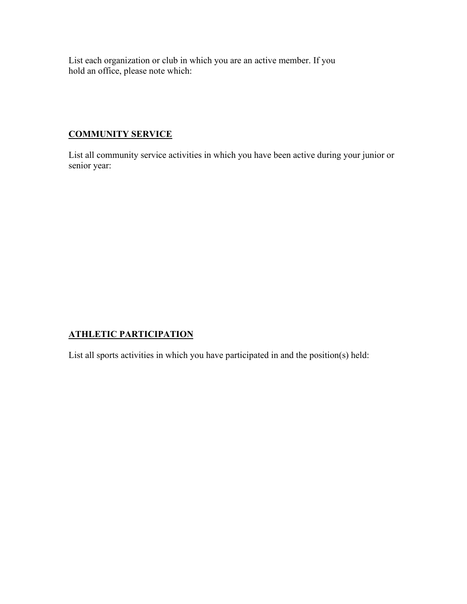List each organization or club in which you are an active member. If you hold an office, please note which:

## **COMMUNITY SERVICE**

List all community service activities in which you have been active during your junior or senior year:

## **ATHLETIC PARTICIPATION**

List all sports activities in which you have participated in and the position(s) held: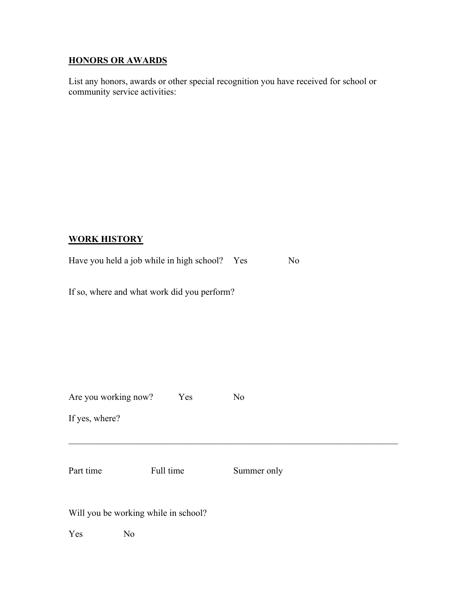## **HONORS OR AWARDS**

List any honors, awards or other special recognition you have received for school or community service activities:

#### **WORK HISTORY**

|  | Have you held a job while in high school? Yes | No. |
|--|-----------------------------------------------|-----|
|  |                                               |     |

If so, where and what work did you perform?

| Are you working now?                 | Yes       | N <sub>o</sub> |
|--------------------------------------|-----------|----------------|
| If yes, where?                       |           |                |
| Part time                            | Full time | Summer only    |
| Will you be working while in school? |           |                |

Yes No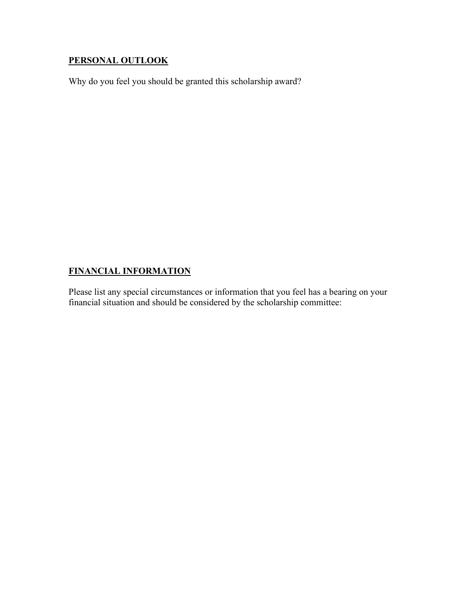## **PERSONAL OUTLOOK**

Why do you feel you should be granted this scholarship award?

# **FINANCIAL INFORMATION**

Please list any special circumstances or information that you feel has a bearing on your financial situation and should be considered by the scholarship committee: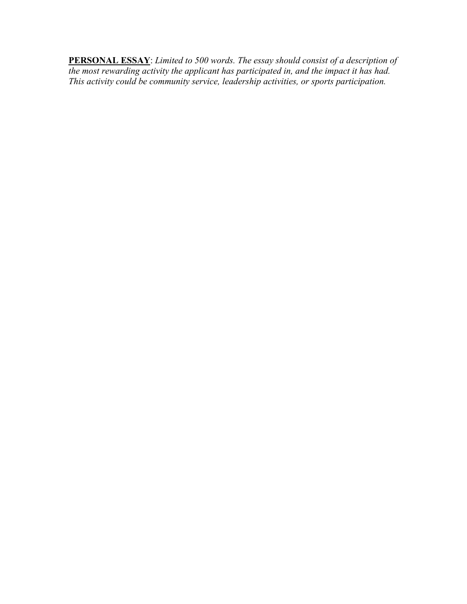**PERSONAL ESSAY**: *Limited to 500 words. The essay should consist of a description of the most rewarding activity the applicant has participated in, and the impact it has had. This activity could be community service, leadership activities, or sports participation.*